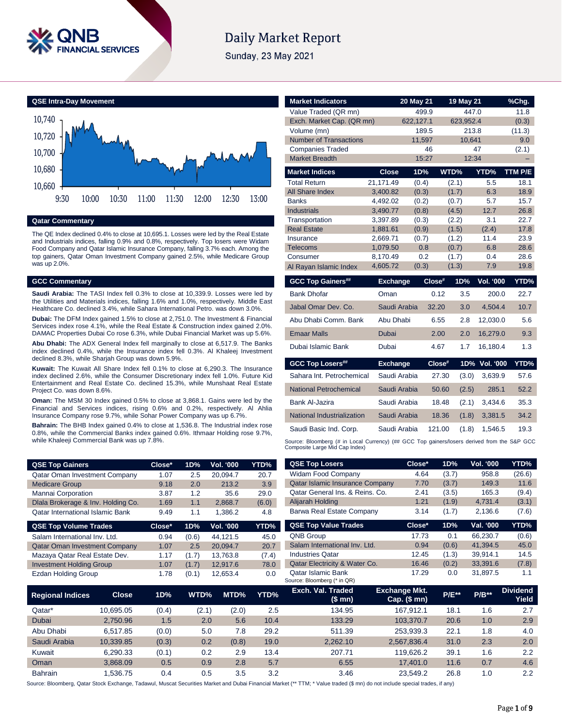

# **Daily Market Report**

Sunday, 23 May 2021

**QSE Intra-Day Movement**



**Qatar Commentary**

The QE Index declined 0.4% to close at 10,695.1. Losses were led by the Real Estate and Industrials indices, falling 0.9% and 0.8%, respectively. Top losers were Widam Food Company and Qatar Islamic Insurance Company, falling 3.7% each. Among the top gainers, Qatar Oman Investment Company gained 2.5%, while Medicare Group was up 2.0%.

## **GCC Commentary**

**Saudi Arabia:** The TASI Index fell 0.3% to close at 10,339.9. Losses were led by the Utilities and Materials indices, falling 1.6% and 1.0%, respectively. Middle East Healthcare Co. declined 3.4%, while Sahara International Petro. was down 3.0%.

**Dubai:** The DFM Index gained 1.5% to close at 2,751.0. The Investment & Financial Services index rose 4.1%, while the Real Estate & Construction index gained 2.0%. DAMAC Properties Dubai Co rose 6.3%, while Dubai Financial Market was up 5.6%.

**Abu Dhabi:** The ADX General Index fell marginally to close at 6,517.9. The Banks index declined 0.4%, while the Insurance index fell 0.3%. Al Khaleej Investment declined 8.3%, while Sharjah Group was down 5.9%.

**Kuwait:** The Kuwait All Share Index fell 0.1% to close at 6,290.3. The Insurance index declined 2.6%, while the Consumer Discretionary index fell 1.0%. Future Kid Entertainment and Real Estate Co. declined 15.3%, while Munshaat Real Estate Project Co. was down 8.6%.

**Oman:** The MSM 30 Index gained 0.5% to close at 3,868.1. Gains were led by the Financial and Services indices, rising 0.6% and 0.2%, respectively. Al Ahlia Insurance Company rose 9.7%, while Sohar Power Company was up 6.7%.

**Bahrain:** The BHB Index gained 0.4% to close at 1,536.8. The Industrial index rose 0.8%, while the Commercial Banks index gained 0.6%. Ithmaar Holding rose 9.7%, while Khaleeji Commercial Bank was up 7.8%.

| <b>QSE Top Gainers</b>                  | Close* | 1D% | <b>Vol. '000</b> | YTD%  |
|-----------------------------------------|--------|-----|------------------|-------|
| <b>Qatar Oman Investment Company</b>    | 1.07   | 2.5 | 20.094.7         | 20.7  |
| <b>Medicare Group</b>                   | 9.18   | 2.0 | 213.2            | 3.9   |
| Mannai Corporation                      | 3.87   | 1.2 | 35.6             | 29.0  |
| Dlala Brokerage & Inv. Holding Co.      | 1.69   | 1.1 | 2.868.7          | (6.0) |
| <b>Qatar International Islamic Bank</b> | 9.49   | 1.1 | 1.386.2          | 4.8   |

| <b>QSE Top Volume Trades</b>         | Close* | 1D%   | <b>Vol. '000</b> | YTD%  |
|--------------------------------------|--------|-------|------------------|-------|
| Salam International Inv. Ltd.        | 0.94   | (0.6) | 44.121.5         | 45.0  |
| <b>Qatar Oman Investment Company</b> | 1.07   | 2.5   | 20.094.7         | 20.7  |
| Mazaya Qatar Real Estate Dev.        | 1.17   | (1.7) | 13.763.8         | (7.4) |
| <b>Investment Holding Group</b>      | 1.07   | (1.7) | 12.917.6         | 78.0  |
| <b>Ezdan Holding Group</b>           | 1.78   | (0.1) | 12.653.4         | 0.0   |
|                                      |        |       |                  |       |

| <b>Market Indicators</b>                       |                      |                    |                     |                  |               |
|------------------------------------------------|----------------------|--------------------|---------------------|------------------|---------------|
| Value Traded (QR mn)                           |                      | 20 May 21<br>499.9 | 19 May 21           | 447.0            | %Chq.<br>11.8 |
| Exch. Market Cap. (QR mn)                      |                      | 622,127.1          | 623,952.4           |                  | (0.3)         |
| Volume (mn)                                    |                      | 189.5              |                     | 213.8            | (11.3)        |
| <b>Number of Transactions</b>                  |                      | 11,597             | 10.641              |                  | 9.0           |
| <b>Companies Traded</b>                        |                      | 46                 |                     | 47               | (2.1)         |
| <b>Market Breadth</b>                          |                      | 15:27              |                     | 12:34            |               |
| <b>Market Indices</b>                          | <b>Close</b>         | 1D%                | WTD%                | YTD%             | TTM P/E       |
| <b>Total Return</b>                            | 21.171.49            | (0.4)              | (2.1)               | 5.5              | 18.1          |
| All Share Index                                | 3.400.82             | (0.3)              | (1.7)               | 6.3              | 18.9          |
| <b>Banks</b>                                   | 4,492.02             | (0.2)              | (0.7)               | 5.7              | 15.7          |
| <b>Industrials</b>                             | 3.490.77             | (0.8)              | (4.5)               | 12.7             | 26.8          |
| Transportation                                 | 3,397.89             | (0.3)              | (2.2)               | 3.1              | 22.7          |
| <b>Real Estate</b>                             | 1,881.61             | (0.9)              | (1.5)               | (2.4)            | 17.8          |
| Insurance<br>Telecoms                          | 2.669.71<br>1.079.50 | (0.7)<br>0.8       | (1.2)<br>(0.7)      | 11.4<br>6.8      | 23.9<br>28.6  |
| Consumer                                       | 8,170.49             | 0.2                | (1.7)               | 0.4              | 28.6          |
| Al Rayan Islamic Index                         | 4.605.72             | (0.3)              | (1.3)               | 7.9              | 19.8          |
|                                                |                      |                    |                     |                  |               |
|                                                | <b>Exchange</b>      | Close#             | 1D%                 | <b>Vol. '000</b> | YTD%          |
| <b>GCC Top Gainers##</b><br><b>Bank Dhofar</b> | Oman                 |                    | 0.12<br>3.5         | 200.0            | 22.7          |
| Jabal Omar Dev. Co.                            | Saudi Arabia         |                    | 32.20<br>3.0        | 4.504.4          | 10.7          |
| Abu Dhabi Comm, Bank                           | Abu Dhabi            |                    | 6.55<br>2.8         | 12,030.0         | 5.6           |
| <b>Emaar Malls</b>                             | Dubai                |                    | 2.00<br>2.0         | 16,279.0         | 9.3           |
| Dubai Islamic Bank                             | Dubai                |                    | 1.7<br>4.67         | 16,180.4         | 1.3           |
| <b>GCC Top Losers##</b>                        | <b>Exchange</b>      |                    | $1D\%$<br>$Close^*$ | Vol. '000        | YTD%          |
| Sahara Int. Petrochemical                      | Saudi Arabia         |                    | 27.30<br>(3.0)      | 3.639.9          | 57.6          |
| National Petrochemical                         | Saudi Arabia         |                    | 50.60<br>(2.5)      | 285.1            | 52.2          |
| Bank Al-Jazira                                 | Saudi Arabia         |                    | 18.48<br>(2.1)      | 3.434.6          | 35.3          |
| National Industrialization                     | Saudi Arabia         |                    | 18.36<br>(1.8)      | 3,381.5          | 34.2          |
| Saudi Basic Ind. Corp.                         | Saudi Arabia         |                    | 121.00<br>(1.8)     | 1.546.5          | 19.3          |

| <b>QSE Top Gainers</b>                  |              | Close* | 1D%   | Vol. '000    | YTD%  | <b>QSE Top Losers</b>                                    | Close*                                   | 1D%      | Vol. '000 | YTD%                     |
|-----------------------------------------|--------------|--------|-------|--------------|-------|----------------------------------------------------------|------------------------------------------|----------|-----------|--------------------------|
| Qatar Oman Investment Company           |              | 1.07   | 2.5   | 20,094.7     | 20.7  | <b>Widam Food Company</b>                                | 4.64                                     | (3.7)    | 958.8     | (26.6)                   |
| <b>Medicare Group</b>                   |              | 9.18   | 2.0   | 213.2        | 3.9   | <b>Qatar Islamic Insurance Company</b>                   | 7.70                                     | (3.7)    | 149.3     | 11.6                     |
| Mannai Corporation                      |              | 3.87   | 1.2   | 35.6         | 29.0  | Qatar General Ins. & Reins. Co.                          | 2.41                                     | (3.5)    | 165.3     | (9.4)                    |
| Dlala Brokerage & Inv. Holding Co.      |              | 1.69   | 1.1   | 2,868.7      | (6.0) | Alijarah Holding                                         | 1.21                                     | (1.9)    | 4,731.4   | (3.1)                    |
| <b>Qatar International Islamic Bank</b> |              | 9.49   | 1.1   | 1,386.2      | 4.8   | Barwa Real Estate Company                                | 3.14                                     | (1.7)    | 2,136.6   | (7.6)                    |
| <b>QSE Top Volume Trades</b>            |              | Close* | 1D%   | Vol. '000    | YTD%  | <b>QSE Top Value Trades</b>                              | Close*                                   | 1D%      | Val. '000 | YTD%                     |
| Salam International Inv. Ltd.           |              | 0.94   | (0.6) | 44,121.5     | 45.0  | QNB Group                                                | 17.73                                    | 0.1      | 66,230.7  | (0.6)                    |
| <b>Qatar Oman Investment Company</b>    |              | 1.07   | 2.5   | 20,094.7     | 20.7  | Salam International Inv. Ltd.                            | 0.94                                     | (0.6)    | 41,394.5  | 45.0                     |
| Mazaya Qatar Real Estate Dev.           |              | 1.17   | (1.7) | 13,763.8     | (7.4) | <b>Industries Qatar</b>                                  | 12.45                                    | (1.3)    | 39,914.1  | 14.5                     |
| <b>Investment Holding Group</b>         |              | 1.07   | (1.7) | 12,917.6     | 78.0  | Qatar Electricity & Water Co.                            | 16.46                                    | (0.2)    | 33,391.6  | (7.8)                    |
| <b>Ezdan Holding Group</b>              |              | 1.78   | (0.1) | 12,653.4     | 0.0   | <b>Qatar Islamic Bank</b><br>Source: Bloomberg (* in QR) | 17.29                                    | 0.0      | 31,897.5  | 1.1                      |
| <b>Regional Indices</b>                 | <b>Close</b> | 1D%    | WTD%  | MTD%         | YTD%  | Exch. Val. Traded<br>$$ \mathsf{mn} \$                   | <b>Exchange Mkt.</b><br>Cap. $($$ mn $)$ | $P/E***$ | $P/B**$   | <b>Dividend</b><br>Yield |
| Qatar*                                  | 10,695.05    | (0.4)  | (2.1) | (2.0)        | 2.5   | 134.95                                                   | 167,912.1                                | 18.1     | 1.6       | 2.7                      |
| Dubai                                   | 2,750.96     | 1.5    |       | 2.0<br>5.6   | 10.4  | 133.29                                                   | 103,370.7                                | 20.6     | 1.0       | 2.9                      |
| Abu Dhabi                               | 6,517.85     | (0.0)  |       | 5.0<br>7.8   | 29.2  | 511.39                                                   | 253,939.3                                | 22.1     | 1.8       | 4.0                      |
| Saudi Arabia                            | 10,339.85    | (0.3)  |       | 0.2<br>(0.8) | 19.0  | 2,262.10                                                 | 2,567,836.4                              | 31.0     | 2.3       | 2.0                      |
| Kuwait                                  | 6,290.33     | (0.1)  |       | 0.2<br>2.9   | 13.4  | 207.71                                                   | 119,626.2                                | 39.1     | 1.6       | 2.2                      |
| Oman                                    | 3,868.09     | 0.5    |       | 0.9<br>2.8   | 5.7   | 6.55                                                     | 17,401.0                                 | 11.6     | 0.7       | 4.6                      |
| Bahrain                                 | 1,536.75     | 0.4    |       | 0.5<br>3.5   | 3.2   | 3.46                                                     | 23,549.2                                 | 26.8     | 1.0       | 2.2                      |

Source: Bloomberg, Qatar Stock Exchange, Tadawul, Muscat Securities Market and Dubai Financial Market (\*\* TTM; \* Value traded (\$ mn) do not include special trades, if any)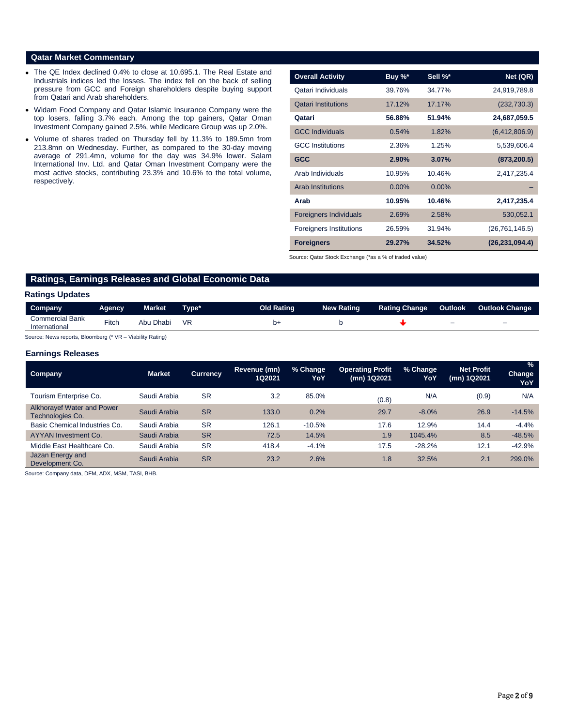# **Qatar Market Commentary**

- The QE Index declined 0.4% to close at 10,695.1. The Real Estate and Industrials indices led the losses. The index fell on the back of selling pressure from GCC and Foreign shareholders despite buying support from Qatari and Arab shareholders.
- Widam Food Company and Qatar Islamic Insurance Company were the top losers, falling 3.7% each. Among the top gainers, Qatar Oman Investment Company gained 2.5%, while Medicare Group was up 2.0%.
- Volume of shares traded on Thursday fell by 11.3% to 189.5mn from 213.8mn on Wednesday. Further, as compared to the 30-day moving average of 291.4mn, volume for the day was 34.9% lower. Salam International Inv. Ltd. and Qatar Oman Investment Company were the most active stocks, contributing 23.3% and 10.6% to the total volume, respectively.

| <b>Overall Activity</b>        | Buy %*   | Sell %*  | Net (QR)         |
|--------------------------------|----------|----------|------------------|
| Qatari Individuals             | 39.76%   | 34.77%   | 24,919,789.8     |
| <b>Qatari Institutions</b>     | 17.12%   | 17.17%   | (232, 730.3)     |
| Qatari                         | 56.88%   | 51.94%   | 24,687,059.5     |
| <b>GCC Individuals</b>         | 0.54%    | 1.82%    | (6,412,806.9)    |
| <b>GCC</b> Institutions        | 2.36%    | 1.25%    | 5,539,606.4      |
| <b>GCC</b>                     | 2.90%    | 3.07%    | (873, 200.5)     |
| Arab Individuals               | 10.95%   | 10.46%   | 2,417,235.4      |
| <b>Arab Institutions</b>       | $0.00\%$ | $0.00\%$ |                  |
| Arab                           | 10.95%   | 10.46%   | 2,417,235.4      |
| <b>Foreigners Individuals</b>  | 2.69%    | 2.58%    | 530,052.1        |
| <b>Foreigners Institutions</b> | 26.59%   | 31.94%   | (26, 761, 146.5) |
| <b>Foreigners</b>              | 29.27%   | 34.52%   | (26, 231, 094.4) |

Source: Qatar Stock Exchange (\*as a % of traded value)

# **Ratings, Earnings Releases and Global Economic Data**

# **Ratings Updates**

| Company                                 | Agency | Market    | ⊺vpe* | <b>Old Rating</b> | <b>New Rating</b> | <b>Rating Change</b> | <b>Outlook</b>           | <b>Outlook Change</b> |
|-----------------------------------------|--------|-----------|-------|-------------------|-------------------|----------------------|--------------------------|-----------------------|
| <b>Commercial Bank</b><br>International | Fitch  | Abu Dhabi | VR    | Ŋ٠                |                   |                      | $\overline{\phantom{a}}$ | -                     |

Source: News reports, Bloomberg (\* VR – Viability Rating)

# **Earnings Releases**

| <b>Company</b>                                        | <b>Market</b> | <b>Currency</b> | Revenue (mn)<br>1Q2021 | % Change<br>YoY | <b>Operating Profit</b><br>(mn) 1Q2021 | % Change<br>YoY | <b>Net Profit</b><br>(mn) 1Q2021 | $\%$<br>Change<br>YoY |
|-------------------------------------------------------|---------------|-----------------|------------------------|-----------------|----------------------------------------|-----------------|----------------------------------|-----------------------|
| Tourism Enterprise Co.                                | Saudi Arabia  | <b>SR</b>       | 3.2                    | 85.0%           | (0.8)                                  | N/A             | (0.9)                            | N/A                   |
| <b>Alkhorayef Water and Power</b><br>Technologies Co. | Saudi Arabia  | <b>SR</b>       | 133.0                  | 0.2%            | 29.7                                   | $-8.0%$         | 26.9                             | $-14.5%$              |
| Basic Chemical Industries Co.                         | Saudi Arabia  | <b>SR</b>       | 126.1                  | $-10.5%$        | 17.6                                   | 12.9%           | 14.4                             | $-4.4%$               |
| <b>AYYAN Investment Co.</b>                           | Saudi Arabia  | <b>SR</b>       | 72.5                   | 14.5%           | 1.9                                    | 1045.4%         | 8.5                              | $-48.5%$              |
| Middle East Healthcare Co.                            | Saudi Arabia  | <b>SR</b>       | 418.4                  | $-4.1%$         | 17.5                                   | $-28.2%$        | 12.1                             | $-42.9%$              |
| Jazan Energy and<br>Development Co.                   | Saudi Arabia  | <b>SR</b>       | 23.2                   | 2.6%            | 1.8                                    | 32.5%           | 2.1                              | 299.0%                |

Source: Company data, DFM, ADX, MSM, TASI, BHB.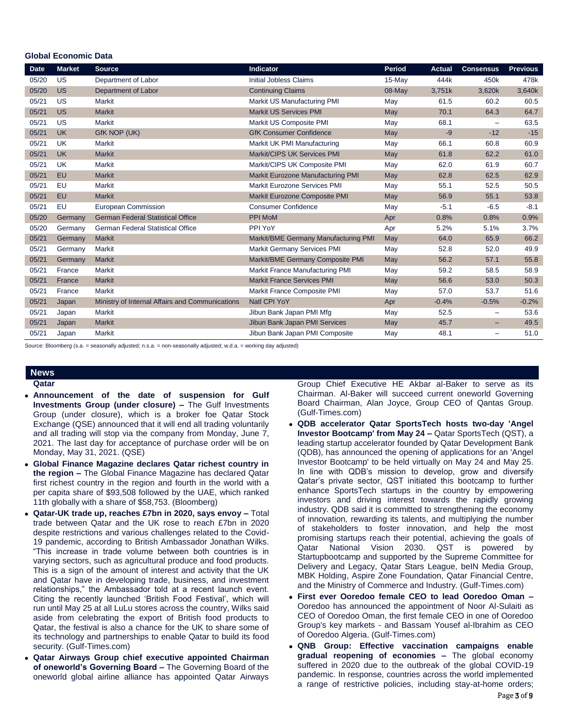# **Global Economic Data**

| <b>Date</b> | <b>Market</b> | <b>Source</b>                                   | Indicator                                | <b>Period</b> | <b>Actual</b> | <b>Consensus</b>         | <b>Previous</b> |
|-------------|---------------|-------------------------------------------------|------------------------------------------|---------------|---------------|--------------------------|-----------------|
| 05/20       | US            | Department of Labor                             | <b>Initial Jobless Claims</b>            | 15-May        | 444k          | 450k                     | 478k            |
| 05/20       | <b>US</b>     | <b>Department of Labor</b>                      | <b>Continuing Claims</b>                 | 08-May        | 3,751k        | 3,620k                   | 3,640k          |
| 05/21       | US            | <b>Markit</b>                                   | Markit US Manufacturing PMI              | May           | 61.5          | 60.2                     | 60.5            |
| 05/21       | <b>US</b>     | <b>Markit</b>                                   | <b>Markit US Services PMI</b>            | May           | 70.1          | 64.3                     | 64.7            |
| 05/21       | US            | <b>Markit</b>                                   | Markit US Composite PMI                  | May           | 68.1          | $\overline{\phantom{m}}$ | 63.5            |
| 05/21       | <b>UK</b>     | GfK NOP (UK)                                    | <b>GfK Consumer Confidence</b>           | May           | -9            | $-12$                    | $-15$           |
| 05/21       | <b>UK</b>     | Markit                                          | Markit UK PMI Manufacturing              | May           | 66.1          | 60.8                     | 60.9            |
| 05/21       | <b>UK</b>     | <b>Markit</b>                                   | Markit/CIPS UK Services PMI              | May           | 61.8          | 62.2                     | 61.0            |
| 05/21       | <b>UK</b>     | Markit                                          | Markit/CIPS UK Composite PMI             | May           | 62.0          | 61.9                     | 60.7            |
| 05/21       | <b>EU</b>     | <b>Markit</b>                                   | <b>Markit Eurozone Manufacturing PMI</b> | May           | 62.8          | 62.5                     | 62.9            |
| 05/21       | EU            | <b>Markit</b>                                   | <b>Markit Eurozone Services PMI</b>      | May           | 55.1          | 52.5                     | 50.5            |
| 05/21       | <b>EU</b>     | <b>Markit</b>                                   | Markit Eurozone Composite PMI            | May           | 56.9          | 55.1                     | 53.8            |
| 05/21       | EU            | <b>European Commission</b>                      | <b>Consumer Confidence</b>               | May           | $-5.1$        | $-6.5$                   | $-8.1$          |
| 05/20       | Germany       | <b>German Federal Statistical Office</b>        | <b>PPI MoM</b>                           | Apr           | 0.8%          | 0.8%                     | 0.9%            |
| 05/20       | Germany       | <b>German Federal Statistical Office</b>        | PPI YoY                                  | Apr           | 5.2%          | 5.1%                     | 3.7%            |
| 05/21       | Germany       | <b>Markit</b>                                   | Markit/BME Germany Manufacturing PMI     | May           | 64.0          | 65.9                     | 66.2            |
| 05/21       | Germany       | <b>Markit</b>                                   | <b>Markit Germany Services PMI</b>       | May           | 52.8          | 52.0                     | 49.9            |
| 05/21       | Germany       | <b>Markit</b>                                   | Markit/BME Germany Composite PMI         | <b>May</b>    | 56.2          | 57.1                     | 55.8            |
| 05/21       | France        | Markit                                          | Markit France Manufacturing PMI          | May           | 59.2          | 58.5                     | 58.9            |
| 05/21       | France        | <b>Markit</b>                                   | <b>Markit France Services PMI</b>        | May           | 56.6          | 53.0                     | 50.3            |
| 05/21       | France        | <b>Markit</b>                                   | Markit France Composite PMI              | May           | 57.0          | 53.7                     | 51.6            |
| 05/21       | Japan         | Ministry of Internal Affairs and Communications | Natl CPI YoY                             | Apr           | $-0.4%$       | $-0.5%$                  | $-0.2%$         |
| 05/21       | Japan         | Markit                                          | Jibun Bank Japan PMI Mfg                 | May           | 52.5          | $\qquad \qquad -$        | 53.6            |
| 05/21       | Japan         | <b>Markit</b>                                   | Jibun Bank Japan PMI Services            | May           | 45.7          | -                        | 49.5            |
| 05/21       | Japan         | <b>Markit</b>                                   | Jibun Bank Japan PMI Composite           | May           | 48.1          | $\overline{\phantom{0}}$ | 51.0            |

Source: Bloomberg (s.a. = seasonally adjusted; n.s.a. = non-seasonally adjusted; w.d.a. = working day adjusted)

# **News**

- **Qatar**
- **Announcement of the date of suspension for Gulf Investments Group (under closure) –** The Gulf Investments Group (under closure), which is a broker foe Qatar Stock Exchange (QSE) announced that it will end all trading voluntarily and all trading will stop via the company from Monday, June 7, 2021. The last day for acceptance of purchase order will be on Monday, May 31, 2021. (QSE)
- **Global Finance Magazine declares Qatar richest country in the region –** The Global Finance Magazine has declared Qatar first richest country in the region and fourth in the world with a per capita share of \$93,508 followed by the UAE, which ranked 11th globally with a share of \$58,753. (Bloomberg)
- **Qatar-UK trade up, reaches £7bn in 2020, says envoy –** Total trade between Qatar and the UK rose to reach £7bn in 2020 despite restrictions and various challenges related to the Covid-19 pandemic, according to British Ambassador Jonathan Wilks. "This increase in trade volume between both countries is in varying sectors, such as agricultural produce and food products. This is a sign of the amount of interest and activity that the UK and Qatar have in developing trade, business, and investment relationships," the Ambassador told at a recent launch event. Citing the recently launched 'British Food Festival', which will run until May 25 at all LuLu stores across the country, Wilks said aside from celebrating the export of British food products to Qatar, the festival is also a chance for the UK to share some of its technology and partnerships to enable Qatar to build its food security. (Gulf-Times.com)
- **Qatar Airways Group chief executive appointed Chairman of oneworld's Governing Board –** The Governing Board of the oneworld global airline alliance has appointed Qatar Airways

Group Chief Executive HE Akbar al-Baker to serve as its Chairman. Al-Baker will succeed current oneworld Governing Board Chairman, Alan Joyce, Group CEO of Qantas Group. (Gulf-Times.com)

- **QDB accelerator Qatar SportsTech hosts two-day 'Angel Investor Bootcamp' from May 24 –** Qatar SportsTech (QST), a leading startup accelerator founded by Qatar Development Bank (QDB), has announced the opening of applications for an 'Angel Investor Bootcamp' to be held virtually on May 24 and May 25. In line with QDB's mission to develop, grow and diversify Qatar's private sector, QST initiated this bootcamp to further enhance SportsTech startups in the country by empowering investors and driving interest towards the rapidly growing industry. QDB said it is committed to strengthening the economy of innovation, rewarding its talents, and multiplying the number of stakeholders to foster innovation, and help the most promising startups reach their potential, achieving the goals of Qatar National Vision 2030. QST is powered by Startupbootcamp and supported by the Supreme Committee for Delivery and Legacy, Qatar Stars League, beIN Media Group, MBK Holding, Aspire Zone Foundation, Qatar Financial Centre, and the Ministry of Commerce and Industry. (Gulf-Times.com)
- **First ever Ooredoo female CEO to lead Ooredoo Oman –** Ooredoo has announced the appointment of Noor Al-Sulaiti as CEO of Ooredoo Oman, the first female CEO in one of Ooredoo Group's key markets - and Bassam Yousef al-Ibrahim as CEO of Ooredoo Algeria. (Gulf-Times.com)
- **QNB Group: Effective vaccination campaigns enable gradual reopening of economies –** The global economy suffered in 2020 due to the outbreak of the global COVID-19 pandemic. In response, countries across the world implemented a range of restrictive policies, including stay-at-home orders;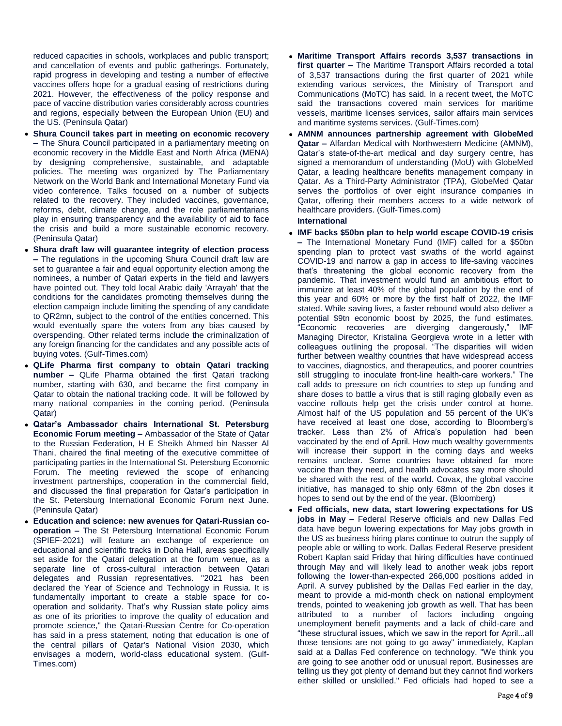reduced capacities in schools, workplaces and public transport; and cancellation of events and public gatherings. Fortunately, rapid progress in developing and testing a number of effective vaccines offers hope for a gradual easing of restrictions during 2021. However, the effectiveness of the policy response and pace of vaccine distribution varies considerably across countries and regions, especially between the European Union (EU) and the US. (Peninsula Qatar)

- **Shura Council takes part in meeting on economic recovery –** The Shura Council participated in a parliamentary meeting on economic recovery in the Middle East and North Africa (MENA) by designing comprehensive, sustainable, and adaptable policies. The meeting was organized by The Parliamentary Network on the World Bank and International Monetary Fund via video conference. Talks focused on a number of subjects related to the recovery. They included vaccines, governance, reforms, debt, climate change, and the role parliamentarians play in ensuring transparency and the availability of aid to face the crisis and build a more sustainable economic recovery. (Peninsula Qatar)
- **Shura draft law will guarantee integrity of election process –** The regulations in the upcoming Shura Council draft law are set to guarantee a fair and equal opportunity election among the nominees, a number of Qatari experts in the field and lawyers have pointed out. They told local Arabic daily 'Arrayah' that the conditions for the candidates promoting themselves during the election campaign include limiting the spending of any candidate to QR2mn, subject to the control of the entities concerned. This would eventually spare the voters from any bias caused by overspending. Other related terms include the criminalization of any foreign financing for the candidates and any possible acts of buying votes. (Gulf-Times.com)
- **QLife Pharma first company to obtain Qatari tracking number –** QLife Pharma obtained the first Qatari tracking number, starting with 630, and became the first company in Qatar to obtain the national tracking code. It will be followed by many national companies in the coming period. (Peninsula Qatar)
- **Qatar's Ambassador chairs International St. Petersburg Economic Forum meeting –** Ambassador of the State of Qatar to the Russian Federation, H E Sheikh Ahmed bin Nasser Al Thani, chaired the final meeting of the executive committee of participating parties in the International St. Petersburg Economic Forum. The meeting reviewed the scope of enhancing investment partnerships, cooperation in the commercial field, and discussed the final preparation for Qatar's participation in the St. Petersburg International Economic Forum next June. (Peninsula Qatar)
- **Education and science: new avenues for Qatari-Russian cooperation –** The St Petersburg International Economic Forum (SPIEF-2021) will feature an exchange of experience on educational and scientific tracks in Doha Hall, areas specifically set aside for the Qatari delegation at the forum venue, as a separate line of cross-cultural interaction between Qatari delegates and Russian representatives. "2021 has been declared the Year of Science and Technology in Russia. It is fundamentally important to create a stable space for cooperation and solidarity. That's why Russian state policy aims as one of its priorities to improve the quality of education and promote science," the Qatari-Russian Centre for Co-operation has said in a press statement, noting that education is one of the central pillars of Qatar's National Vision 2030, which envisages a modern, world-class educational system. (Gulf-Times.com)
- **Maritime Transport Affairs records 3,537 transactions in first quarter –** The Maritime Transport Affairs recorded a total of 3,537 transactions during the first quarter of 2021 while extending various services, the Ministry of Transport and Communications (MoTC) has said. In a recent tweet, the MoTC said the transactions covered main services for maritime vessels, maritime licenses services, sailor affairs main services and maritime systems services. (Gulf-Times.com)
- **AMNM announces partnership agreement with GlobeMed Qatar –** Alfardan Medical with Northwestern Medicine (AMNM), Qatar's state-of-the-art medical and day surgery centre, has signed a memorandum of understanding (MoU) with GlobeMed Qatar, a leading healthcare benefits management company in Qatar. As a Third-Party Administrator (TPA), GlobeMed Qatar serves the portfolios of over eight insurance companies in Qatar, offering their members access to a wide network of healthcare providers. (Gulf-Times.com)

# **International**

- **IMF backs \$50bn plan to help world escape COVID-19 crisis –** The International Monetary Fund (IMF) called for a \$50bn spending plan to protect vast swaths of the world against COVID-19 and narrow a gap in access to life-saving vaccines that's threatening the global economic recovery from the pandemic. That investment would fund an ambitious effort to immunize at least 40% of the global population by the end of this year and 60% or more by the first half of 2022, the IMF stated. While saving lives, a faster rebound would also deliver a potential \$9tn economic boost by 2025, the fund estimates. "Economic recoveries are diverging dangerously," IMF Managing Director, Kristalina Georgieva wrote in a letter with colleagues outlining the proposal. "The disparities will widen further between wealthy countries that have widespread access to vaccines, diagnostics, and therapeutics, and poorer countries still struggling to inoculate front-line health-care workers." The call adds to pressure on rich countries to step up funding and share doses to battle a virus that is still raging globally even as vaccine rollouts help get the crisis under control at home. Almost half of the US population and 55 percent of the UK's have received at least one dose, according to Bloomberg's tracker. Less than 2% of Africa's population had been vaccinated by the end of April. How much wealthy governments will increase their support in the coming days and weeks remains unclear. Some countries have obtained far more vaccine than they need, and health advocates say more should be shared with the rest of the world. Covax, the global vaccine initiative, has managed to ship only 68mn of the 2bn doses it hopes to send out by the end of the year. (Bloomberg)
- **Fed officials, new data, start lowering expectations for US jobs in May –** Federal Reserve officials and new Dallas Fed data have begun lowering expectations for May jobs growth in the US as business hiring plans continue to outrun the supply of people able or willing to work. Dallas Federal Reserve president Robert Kaplan said Friday that hiring difficulties have continued through May and will likely lead to another weak jobs report following the lower-than-expected 266,000 positions added in April. A survey published by the Dallas Fed earlier in the day, meant to provide a mid-month check on national employment trends, pointed to weakening job growth as well. That has been attributed to a number of factors including ongoing unemployment benefit payments and a lack of child-care and "these structural issues, which we saw in the report for April...all those tensions are not going to go away" immediately, Kaplan said at a Dallas Fed conference on technology. "We think you are going to see another odd or unusual report. Businesses are telling us they got plenty of demand but they cannot find workers either skilled or unskilled." Fed officials had hoped to see a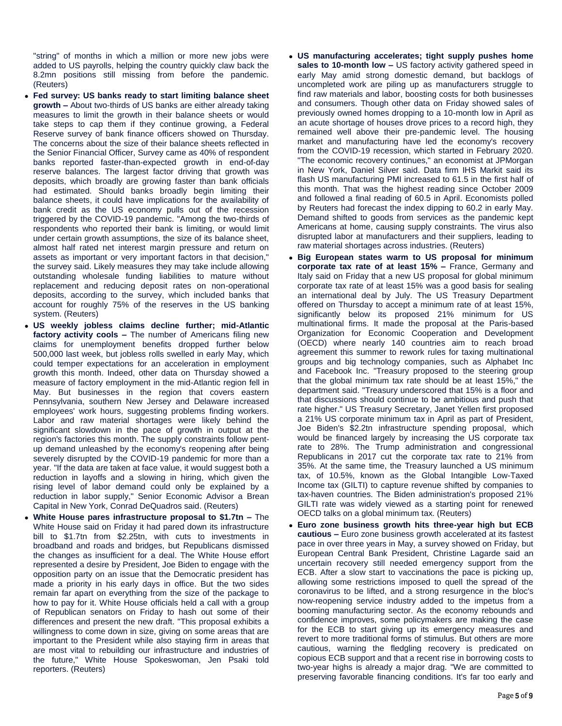"string" of months in which a million or more new jobs were added to US payrolls, helping the country quickly claw back the 8.2mn positions still missing from before the pandemic. (Reuters)

- **Fed survey: US banks ready to start limiting balance sheet growth –** About two-thirds of US banks are either already taking measures to limit the growth in their balance sheets or would take steps to cap them if they continue growing, a Federal Reserve survey of bank finance officers showed on Thursday. The concerns about the size of their balance sheets reflected in the Senior Financial Officer, Survey came as 40% of respondent banks reported faster-than-expected growth in end-of-day reserve balances. The largest factor driving that growth was deposits, which broadly are growing faster than bank officials had estimated. Should banks broadly begin limiting their balance sheets, it could have implications for the availability of bank credit as the US economy pulls out of the recession triggered by the COVID-19 pandemic. "Among the two-thirds of respondents who reported their bank is limiting, or would limit under certain growth assumptions, the size of its balance sheet, almost half rated net interest margin pressure and return on assets as important or very important factors in that decision," the survey said. Likely measures they may take include allowing outstanding wholesale funding liabilities to mature without replacement and reducing deposit rates on non-operational deposits, according to the survey, which included banks that account for roughly 75% of the reserves in the US banking system. (Reuters)
- **US weekly jobless claims decline further; mid-Atlantic factory activity cools –** The number of Americans filing new claims for unemployment benefits dropped further below 500,000 last week, but jobless rolls swelled in early May, which could temper expectations for an acceleration in employment growth this month. Indeed, other data on Thursday showed a measure of factory employment in the mid-Atlantic region fell in May. But businesses in the region that covers eastern Pennsylvania, southern New Jersey and Delaware increased employees' work hours, suggesting problems finding workers. Labor and raw material shortages were likely behind the significant slowdown in the pace of growth in output at the region's factories this month. The supply constraints follow pentup demand unleashed by the economy's reopening after being severely disrupted by the COVID-19 pandemic for more than a year. "If the data are taken at face value, it would suggest both a reduction in layoffs and a slowing in hiring, which given the rising level of labor demand could only be explained by a reduction in labor supply," Senior Economic Advisor a Brean Capital in New York, Conrad DeQuadros said. (Reuters)
- **White House pares infrastructure proposal to \$1.7tn –** The White House said on Friday it had pared down its infrastructure bill to \$1.7tn from \$2.25tn, with cuts to investments in broadband and roads and bridges, but Republicans dismissed the changes as insufficient for a deal. The White House effort represented a desire by President, Joe Biden to engage with the opposition party on an issue that the Democratic president has made a priority in his early days in office. But the two sides remain far apart on everything from the size of the package to how to pay for it. White House officials held a call with a group of Republican senators on Friday to hash out some of their differences and present the new draft. "This proposal exhibits a willingness to come down in size, giving on some areas that are important to the President while also staying firm in areas that are most vital to rebuilding our infrastructure and industries of the future," White House Spokeswoman, Jen Psaki told reporters. (Reuters)
- **US manufacturing accelerates; tight supply pushes home sales to 10-month low –** US factory activity gathered speed in early May amid strong domestic demand, but backlogs of uncompleted work are piling up as manufacturers struggle to find raw materials and labor, boosting costs for both businesses and consumers. Though other data on Friday showed sales of previously owned homes dropping to a 10-month low in April as an acute shortage of houses drove prices to a record high, they remained well above their pre-pandemic level. The housing market and manufacturing have led the economy's recovery from the COVID-19 recession, which started in February 2020. "The economic recovery continues," an economist at JPMorgan in New York, Daniel Silver said. Data firm IHS Markit said its flash US manufacturing PMI increased to 61.5 in the first half of this month. That was the highest reading since October 2009 and followed a final reading of 60.5 in April. Economists polled by Reuters had forecast the index dipping to 60.2 in early May. Demand shifted to goods from services as the pandemic kept Americans at home, causing supply constraints. The virus also disrupted labor at manufacturers and their suppliers, leading to raw material shortages across industries. (Reuters)
- **Big European states warm to US proposal for minimum corporate tax rate of at least 15% –** France, Germany and Italy said on Friday that a new US proposal for global minimum corporate tax rate of at least 15% was a good basis for sealing an international deal by July. The US Treasury Department offered on Thursday to accept a minimum rate of at least 15%, significantly below its proposed 21% minimum for US multinational firms. It made the proposal at the Paris-based Organization for Economic Cooperation and Development (OECD) where nearly 140 countries aim to reach broad agreement this summer to rework rules for taxing multinational groups and big technology companies, such as Alphabet Inc and Facebook Inc. "Treasury proposed to the steering group that the global minimum tax rate should be at least 15%," the department said. "Treasury underscored that 15% is a floor and that discussions should continue to be ambitious and push that rate higher." US Treasury Secretary, Janet Yellen first proposed a 21% US corporate minimum tax in April as part of President, Joe Biden's \$2.2tn infrastructure spending proposal, which would be financed largely by increasing the US corporate tax rate to 28%. The Trump administration and congressional Republicans in 2017 cut the corporate tax rate to 21% from 35%. At the same time, the Treasury launched a US minimum tax, of 10.5%, known as the Global Intangible Low-Taxed Income tax (GILTI) to capture revenue shifted by companies to tax-haven countries. The Biden administration's proposed 21% GILTI rate was widely viewed as a starting point for renewed OECD talks on a global minimum tax. (Reuters)
- **Euro zone business growth hits three-year high but ECB cautious –** Euro zone business growth accelerated at its fastest pace in over three years in May, a survey showed on Friday, but European Central Bank President, Christine Lagarde said an uncertain recovery still needed emergency support from the ECB. After a slow start to vaccinations the pace is picking up, allowing some restrictions imposed to quell the spread of the coronavirus to be lifted, and a strong resurgence in the bloc's now-reopening service industry added to the impetus from a booming manufacturing sector. As the economy rebounds and confidence improves, some policymakers are making the case for the ECB to start giving up its emergency measures and revert to more traditional forms of stimulus. But others are more cautious, warning the fledgling recovery is predicated on copious ECB support and that a recent rise in borrowing costs to two-year highs is already a major drag. "We are committed to preserving favorable financing conditions. It's far too early and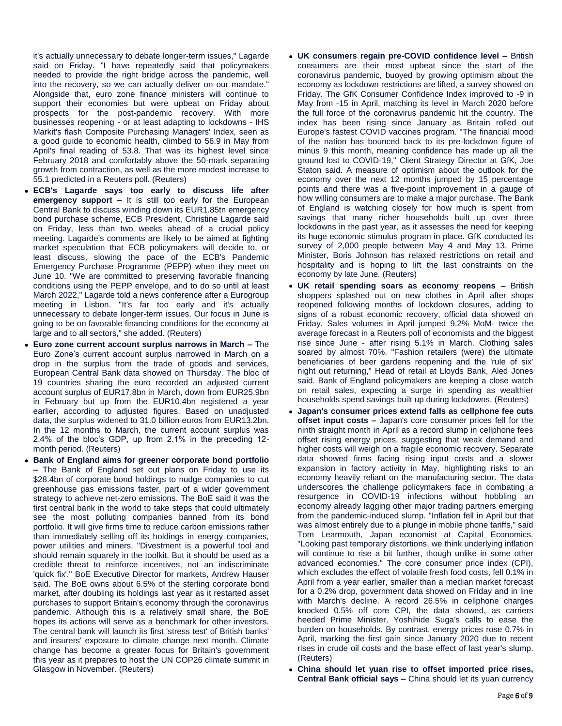it's actually unnecessary to debate longer-term issues," Lagarde said on Friday. "I have repeatedly said that policymakers needed to provide the right bridge across the pandemic, well into the recovery, so we can actually deliver on our mandate." Alongside that, euro zone finance ministers will continue to support their economies but were upbeat on Friday about prospects for the post-pandemic recovery. With more businesses reopening - or at least adapting to lockdowns - IHS Markit's flash Composite Purchasing Managers' Index, seen as a good guide to economic health, climbed to 56.9 in May from April's final reading of 53.8. That was its highest level since February 2018 and comfortably above the 50-mark separating growth from contraction, as well as the more modest increase to 55.1 predicted in a Reuters poll. (Reuters)

- **ECB's Lagarde says too early to discuss life after emergency support –** It is still too early for the European Central Bank to discuss winding down its EUR1.85tn emergency bond purchase scheme, ECB President, Christine Lagarde said on Friday, less than two weeks ahead of a crucial policy meeting. Lagarde's comments are likely to be aimed at fighting market speculation that ECB policymakers will decide to, or least discuss, slowing the pace of the ECB's Pandemic Emergency Purchase Programme (PEPP) when they meet on June 10. "We are committed to preserving favorable financing conditions using the PEPP envelope, and to do so until at least March 2022," Lagarde told a news conference after a Eurogroup meeting in Lisbon. "It's far too early and it's actually unnecessary to debate longer-term issues. Our focus in June is going to be on favorable financing conditions for the economy at large and to all sectors," she added. (Reuters)
- **Euro zone current account surplus narrows in March –** The Euro Zone's current account surplus narrowed in March on a drop in the surplus from the trade of goods and services, European Central Bank data showed on Thursday. The bloc of 19 countries sharing the euro recorded an adjusted current account surplus of EUR17.8bn in March, down from EUR25.9bn in February but up from the EUR10.4bn registered a year earlier, according to adjusted figures. Based on unadjusted data, the surplus widened to 31.0 billion euros from EUR13.2bn. In the 12 months to March, the current account surplus was 2.4% of the bloc's GDP, up from 2.1% in the preceding 12 month period. (Reuters)
- **Bank of England aims for greener corporate bond portfolio –** The Bank of England set out plans on Friday to use its \$28.4bn of corporate bond holdings to nudge companies to cut greenhouse gas emissions faster, part of a wider government strategy to achieve net-zero emissions. The BoE said it was the first central bank in the world to take steps that could ultimately see the most polluting companies banned from its bond portfolio. It will give firms time to reduce carbon emissions rather than immediately selling off its holdings in energy companies, power utilities and miners. "Divestment is a powerful tool and should remain squarely in the toolkit. But it should be used as a credible threat to reinforce incentives, not an indiscriminate 'quick fix'," BoE Executive Director for markets, Andrew Hauser said. The BoE owns about 6.5% of the sterling corporate bond market, after doubling its holdings last year as it restarted asset purchases to support Britain's economy through the coronavirus pandemic. Although this is a relatively small share, the BoE hopes its actions will serve as a benchmark for other investors. The central bank will launch its first 'stress test' of British banks' and insurers' exposure to climate change next month. Climate change has become a greater focus for Britain's government this year as it prepares to host the UN COP26 climate summit in Glasgow in November. (Reuters)
- **UK consumers regain pre-COVID confidence level –** British consumers are their most upbeat since the start of the coronavirus pandemic, buoyed by growing optimism about the economy as lockdown restrictions are lifted, a survey showed on Friday. The GfK Consumer Confidence Index improved to -9 in May from -15 in April, matching its level in March 2020 before the full force of the coronavirus pandemic hit the country. The index has been rising since January as Britain rolled out Europe's fastest COVID vaccines program. "The financial mood of the nation has bounced back to its pre-lockdown figure of minus 9 this month, meaning confidence has made up all the ground lost to COVID-19," Client Strategy Director at GfK, Joe Staton said. A measure of optimism about the outlook for the economy over the next 12 months jumped by 15 percentage points and there was a five-point improvement in a gauge of how willing consumers are to make a major purchase. The Bank of England is watching closely for how much is spent from savings that many richer households built up over three lockdowns in the past year, as it assesses the need for keeping its huge economic stimulus program in place. GfK conducted its survey of 2,000 people between May 4 and May 13. Prime Minister, Boris Johnson has relaxed restrictions on retail and hospitality and is hoping to lift the last constraints on the economy by late June. (Reuters)
- **UK retail spending soars as economy reopens –** British shoppers splashed out on new clothes in April after shops reopened following months of lockdown closures, adding to signs of a robust economic recovery, official data showed on Friday. Sales volumes in April jumped 9.2% MoM- twice the average forecast in a Reuters poll of economists and the biggest rise since June - after rising 5.1% in March. Clothing sales soared by almost 70%. "Fashion retailers (were) the ultimate beneficiaries of beer gardens reopening and the 'rule of six' night out returning," Head of retail at Lloyds Bank, Aled Jones said. Bank of England policymakers are keeping a close watch on retail sales, expecting a surge in spending as wealthier households spend savings built up during lockdowns. (Reuters)
- **Japan's consumer prices extend falls as cellphone fee cuts offset input costs –** Japan's core consumer prices fell for the ninth straight month in April as a record slump in cellphone fees offset rising energy prices, suggesting that weak demand and higher costs will weigh on a fragile economic recovery. Separate data showed firms facing rising input costs and a slower expansion in factory activity in May, highlighting risks to an economy heavily reliant on the manufacturing sector. The data underscores the challenge policymakers face in combating a resurgence in COVID-19 infections without hobbling an economy already lagging other major trading partners emerging from the pandemic-induced slump. "Inflation fell in April but that was almost entirely due to a plunge in mobile phone tariffs," said Tom Learmouth, Japan economist at Capital Economics. "Looking past temporary distortions, we think underlying inflation will continue to rise a bit further, though unlike in some other advanced economies." The core consumer price index (CPI), which excludes the effect of volatile fresh food costs, fell 0.1% in April from a year earlier, smaller than a median market forecast for a 0.2% drop, government data showed on Friday and in line with March's decline. A record 26.5% in cellphone charges knocked 0.5% off core CPI, the data showed, as carriers heeded Prime Minister, Yoshihide Suga's calls to ease the burden on households. By contrast, energy prices rose 0.7% in April, marking the first gain since January 2020 due to recent rises in crude oil costs and the base effect of last year's slump. (Reuters)
- **China should let yuan rise to offset imported price rises, Central Bank official says –** China should let its yuan currency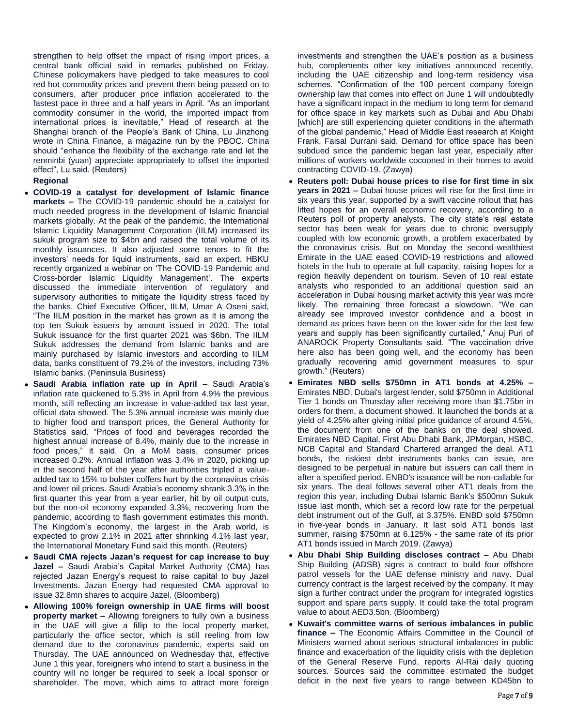strengthen to help offset the impact of rising import prices, a central bank official said in remarks published on Friday. Chinese policymakers have pledged to take measures to cool red hot commodity prices and prevent them being passed on to consumers, after producer price inflation accelerated to the fastest pace in three and a half years in April. "As an important commodity consumer in the world, the imported impact from international prices is inevitable," Head of research at the Shanghai branch of the People's Bank of China, Lu Jinzhong wrote in China Finance, a magazine run by the PBOC. China should "enhance the flexibility of the exchange rate and let the renminbi (yuan) appreciate appropriately to offset the imported effect", Lu said. (Reuters)

# **Regional**

- **COVID-19 a catalyst for development of Islamic finance markets –** The COVID-19 pandemic should be a catalyst for much needed progress in the development of Islamic financial markets globally. At the peak of the pandemic, the International Islamic Liquidity Management Corporation (IILM) increased its sukuk program size to \$4bn and raised the total volume of its monthly issuances. It also adjusted some tenors to fit the investors' needs for liquid instruments, said an expert. HBKU recently organized a webinar on 'The COVID-19 Pandemic and Cross-border Islamic Liquidity Management'. The experts discussed the immediate intervention of regulatory and supervisory authorities to mitigate the liquidity stress faced by the banks. Chief Executive Officer, IILM, Umar A Oseni said, "The IILM position in the market has grown as it is among the top ten Sukuk issuers by amount issued in 2020. The total Sukuk issuance for the first quarter 2021 was \$6bn. The IILM Sukuk addresses the demand from Islamic banks and are mainly purchased by Islamic investors and according to IILM data, banks constituent of 79.2% of the investors, including 73% Islamic banks. (Peninsula Business)
- **Saudi Arabia inflation rate up in April –** Saudi Arabia's inflation rate quickened to 5.3% in April from 4.9% the previous month, still reflecting an increase in value-added tax last year, official data showed. The 5.3% annual increase was mainly due to higher food and transport prices, the General Authority for Statistics said. "Prices of food and beverages recorded the highest annual increase of 8.4%, mainly due to the increase in food prices," it said. On a MoM basis, consumer prices increased 0.2%. Annual inflation was 3.4% in 2020, picking up in the second half of the year after authorities tripled a valueadded tax to 15% to bolster coffers hurt by the coronavirus crisis and lower oil prices. Saudi Arabia's economy shrank 3.3% in the first quarter this year from a year earlier, hit by oil output cuts, but the non-oil economy expanded 3.3%, recovering from the pandemic, according to flash government estimates this month. The Kingdom's economy, the largest in the Arab world, is expected to grow 2.1% in 2021 after shrinking 4.1% last year, the International Monetary Fund said this month. (Reuters)
- **Saudi CMA rejects Jazan's request for cap increase to buy Jazel –** Saudi Arabia's Capital Market Authority (CMA) has rejected Jazan Energy's request to raise capital to buy Jazel Investments. Jazan Energy had requested CMA approval to issue 32.8mn shares to acquire Jazel. (Bloomberg)
- **Allowing 100% foreign ownership in UAE firms will boost property market –** Allowing foreigners to fully own a business in the UAE will give a fillip to the local property market, particularly the office sector, which is still reeling from low demand due to the coronavirus pandemic, experts said on Thursday. The UAE announced on Wednesday that, effective June 1 this year, foreigners who intend to start a business in the country will no longer be required to seek a local sponsor or shareholder. The move, which aims to attract more foreign

investments and strengthen the UAE's position as a business hub, complements other key initiatives announced recently, including the UAE citizenship and long-term residency visa schemes. "Confirmation of the 100 percent company foreign ownership law that comes into effect on June 1 will undoubtedly have a significant impact in the medium to long term for demand for office space in key markets such as Dubai and Abu Dhabi [which] are still experiencing quieter conditions in the aftermath of the global pandemic," Head of Middle East research at Knight Frank, Faisal Durrani said. Demand for office space has been subdued since the pandemic began last year, especially after millions of workers worldwide cocooned in their homes to avoid contracting COVID-19. (Zawya)

- **Reuters poll: Dubai house prices to rise for first time in six years in 2021 –** Dubai house prices will rise for the first time in six years this year, supported by a swift vaccine rollout that has lifted hopes for an overall economic recovery, according to a Reuters poll of property analysts. The city state's real estate sector has been weak for years due to chronic oversupply coupled with low economic growth, a problem exacerbated by the coronavirus crisis. But on Monday the second-wealthiest Emirate in the UAE eased COVID-19 restrictions and allowed hotels in the hub to operate at full capacity, raising hopes for a region heavily dependent on tourism. Seven of 10 real estate analysts who responded to an additional question said an acceleration in Dubai housing market activity this year was more likely. The remaining three forecast a slowdown. "We can already see improved investor confidence and a boost in demand as prices have been on the lower side for the last few years and supply has been significantly curtailed," Anuj Puri of ANAROCK Property Consultants said. "The vaccination drive here also has been going well, and the economy has been gradually recovering amid government measures to spur growth." (Reuters)
- **Emirates NBD sells \$750mn in AT1 bonds at 4.25% –** Emirates NBD, Dubai's largest lender, sold \$750mn in Additional Tier 1 bonds on Thursday after receiving more than \$1.75bn in orders for them, a document showed. It launched the bonds at a yield of 4.25% after giving initial price guidance of around 4.5%, the document from one of the banks on the deal showed. Emirates NBD Capital, First Abu Dhabi Bank, JPMorgan, HSBC, NCB Capital and Standard Chartered arranged the deal. AT1 bonds, the riskiest debt instruments banks can issue, are designed to be perpetual in nature but issuers can call them in after a specified period. ENBD's issuance will be non-callable for six years. The deal follows several other AT1 deals from the region this year, including Dubai Islamic Bank's \$500mn Sukuk issue last month, which set a record low rate for the perpetual debt instrument out of the Gulf, at 3.375%. ENBD sold \$750mn in five-year bonds in January. It last sold AT1 bonds last summer, raising \$750mn at 6.125% - the same rate of its prior AT1 bonds issued in March 2019. (Zawya)
- **Abu Dhabi Ship Building discloses contract –** Abu Dhabi Ship Building (ADSB) signs a contract to build four offshore patrol vessels for the UAE defense ministry and navy. Dual currency contract is the largest received by the company. It may sign a further contract under the program for integrated logistics support and spare parts supply. It could take the total program value to about AED3.5bn. (Bloomberg)
- **Kuwait's committee warns of serious imbalances in public finance –** The Economic Affairs Committee in the Council of Ministers warned about serious structural imbalances in public finance and exacerbation of the liquidity crisis with the depletion of the General Reserve Fund, reports Al-Rai daily quoting sources. Sources said the committee estimated the budget deficit in the next five years to range between KD45bn to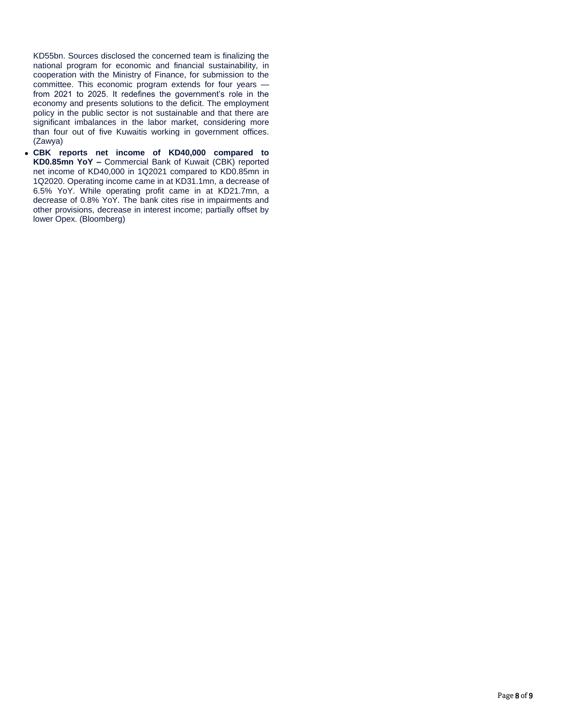KD55bn. Sources disclosed the concerned team is finalizing the national program for economic and financial sustainability, in cooperation with the Ministry of Finance, for submission to the committee. This economic program extends for four years from 2021 to 2025. It redefines the government's role in the economy and presents solutions to the deficit. The employment policy in the public sector is not sustainable and that there are significant imbalances in the labor market, considering more than four out of five Kuwaitis working in government offices. (Zawya)

 **CBK reports net income of KD40,000 compared to KD0.85mn YoY –** Commercial Bank of Kuwait (CBK) reported net income of KD40,000 in 1Q2021 compared to KD0.85mn in 1Q2020. Operating income came in at KD31.1mn, a decrease of 6.5% YoY. While operating profit came in at KD21.7mn, a decrease of 0.8% YoY. The bank cites rise in impairments and other provisions, decrease in interest income; partially offset by lower Opex. (Bloomberg)